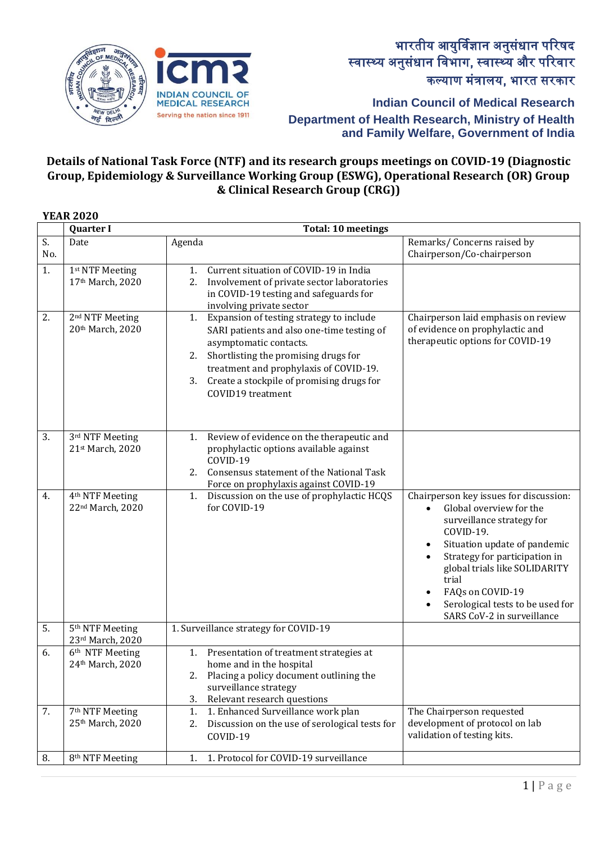

**Indian Council of Medical Research**

**Department of Health Research, Ministry of Health and Family Welfare, Government of India**

## **Details of National Task Force (NTF) and its research groups meetings on COVID-19 (Diagnostic Group, Epidemiology & Surveillance Working Group (ESWG), Operational Research (OR) Group & Clinical Research Group (CRG))**

|           | <b>YEAR 2020</b>                                |                                                                                                                                                                                                                                                                                  |                                                                                                                                                                                                                                                                                                                                        |
|-----------|-------------------------------------------------|----------------------------------------------------------------------------------------------------------------------------------------------------------------------------------------------------------------------------------------------------------------------------------|----------------------------------------------------------------------------------------------------------------------------------------------------------------------------------------------------------------------------------------------------------------------------------------------------------------------------------------|
|           | <b>Quarter I</b>                                | <b>Total: 10 meetings</b>                                                                                                                                                                                                                                                        |                                                                                                                                                                                                                                                                                                                                        |
| S.<br>No. | Date                                            | Agenda                                                                                                                                                                                                                                                                           | Remarks/Concerns raised by<br>Chairperson/Co-chairperson                                                                                                                                                                                                                                                                               |
| 1.        | 1st NTF Meeting<br>17th March, 2020             | Current situation of COVID-19 in India<br>1.<br>2.<br>Involvement of private sector laboratories<br>in COVID-19 testing and safeguards for<br>involving private sector                                                                                                           |                                                                                                                                                                                                                                                                                                                                        |
| 2.        | 2 <sup>nd</sup> NTF Meeting<br>20th March, 2020 | 1. Expansion of testing strategy to include<br>SARI patients and also one-time testing of<br>asymptomatic contacts.<br>2. Shortlisting the promising drugs for<br>treatment and prophylaxis of COVID-19.<br>Create a stockpile of promising drugs for<br>3.<br>COVID19 treatment | Chairperson laid emphasis on review<br>of evidence on prophylactic and<br>therapeutic options for COVID-19                                                                                                                                                                                                                             |
| 3.        | 3rd NTF Meeting<br>21st March, 2020             | Review of evidence on the therapeutic and<br>1.<br>prophylactic options available against<br>COVID-19<br>Consensus statement of the National Task<br>2.<br>Force on prophylaxis against COVID-19                                                                                 |                                                                                                                                                                                                                                                                                                                                        |
| 4.        | 4 <sup>th</sup> NTF Meeting<br>22nd March, 2020 | 1. Discussion on the use of prophylactic HCQS<br>for COVID-19                                                                                                                                                                                                                    | Chairperson key issues for discussion:<br>Global overview for the<br>$\bullet$<br>surveillance strategy for<br>COVID-19.<br>Situation update of pandemic<br>$\bullet$<br>Strategy for participation in<br>global trials like SOLIDARITY<br>trial<br>FAQs on COVID-19<br>Serological tests to be used for<br>SARS CoV-2 in surveillance |
| 5.        | 5 <sup>th</sup> NTF Meeting<br>23rd March, 2020 | 1. Surveillance strategy for COVID-19                                                                                                                                                                                                                                            |                                                                                                                                                                                                                                                                                                                                        |
| 6.        | 6 <sup>th</sup> NTF Meeting<br>24th March, 2020 | 1.<br>Presentation of treatment strategies at<br>home and in the hospital<br>Placing a policy document outlining the<br>2.<br>surveillance strategy<br>Relevant research questions<br>3.                                                                                         |                                                                                                                                                                                                                                                                                                                                        |
| 7.        | 7 <sup>th</sup> NTF Meeting<br>25th March, 2020 | 1. Enhanced Surveillance work plan<br>1.<br>Discussion on the use of serological tests for<br>2.<br>COVID-19                                                                                                                                                                     | The Chairperson requested<br>development of protocol on lab<br>validation of testing kits.                                                                                                                                                                                                                                             |
| 8.        | 8 <sup>th</sup> NTF Meeting                     | 1. Protocol for COVID-19 surveillance<br>1.                                                                                                                                                                                                                                      |                                                                                                                                                                                                                                                                                                                                        |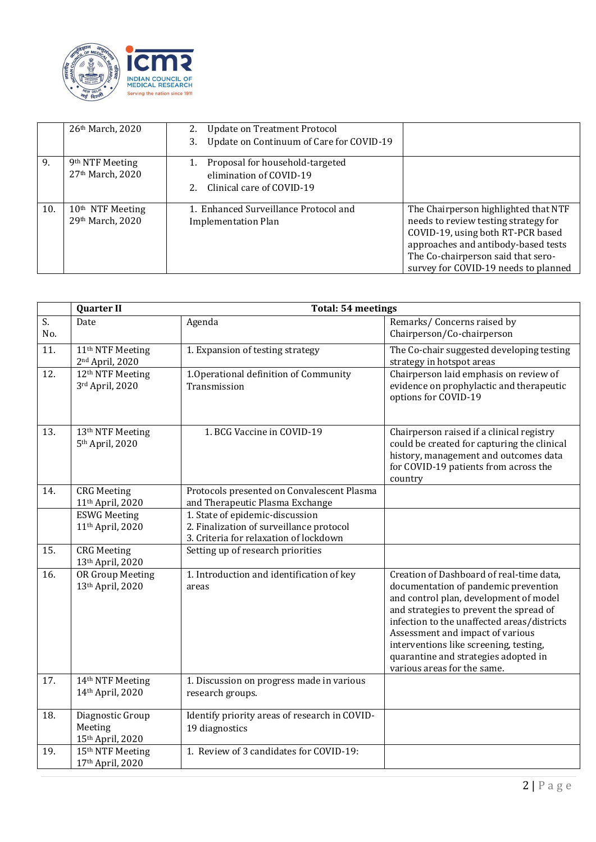

|     | 26th March, 2020                                 | 2. Update on Treatment Protocol<br>Update on Continuum of Care for COVID-19<br>3.                |                                                                                                                                                                                                                                        |
|-----|--------------------------------------------------|--------------------------------------------------------------------------------------------------|----------------------------------------------------------------------------------------------------------------------------------------------------------------------------------------------------------------------------------------|
| 9.  | 9 <sup>th</sup> NTF Meeting<br>27th March, 2020  | Proposal for household-targeted<br>1.<br>elimination of COVID-19<br>2. Clinical care of COVID-19 |                                                                                                                                                                                                                                        |
| 10. | 10 <sup>th</sup> NTF Meeting<br>29th March, 2020 | 1. Enhanced Surveillance Protocol and<br><b>Implementation Plan</b>                              | The Chairperson highlighted that NTF<br>needs to review testing strategy for<br>COVID-19, using both RT-PCR based<br>approaches and antibody-based tests<br>The Co-chairperson said that sero-<br>survey for COVID-19 needs to planned |

|           | <b>Quarter II</b>                                           | <b>Total: 54 meetings</b>                                                                                             |                                                                                                                                                                                                                                                                                                                                                                           |  |  |  |
|-----------|-------------------------------------------------------------|-----------------------------------------------------------------------------------------------------------------------|---------------------------------------------------------------------------------------------------------------------------------------------------------------------------------------------------------------------------------------------------------------------------------------------------------------------------------------------------------------------------|--|--|--|
| S.<br>No. | Date                                                        | Agenda                                                                                                                | Remarks/ Concerns raised by<br>Chairperson/Co-chairperson                                                                                                                                                                                                                                                                                                                 |  |  |  |
| 11.       | 11 <sup>th</sup> NTF Meeting<br>2 <sup>nd</sup> April, 2020 | 1. Expansion of testing strategy                                                                                      | The Co-chair suggested developing testing<br>strategy in hotspot areas                                                                                                                                                                                                                                                                                                    |  |  |  |
| 12.       | 12 <sup>th</sup> NTF Meeting<br>3rd April, 2020             | 1. Operational definition of Community<br>Transmission                                                                | Chairperson laid emphasis on review of<br>evidence on prophylactic and therapeutic<br>options for COVID-19                                                                                                                                                                                                                                                                |  |  |  |
| 13.       | 13 <sup>th</sup> NTF Meeting<br>5 <sup>th</sup> April, 2020 | 1. BCG Vaccine in COVID-19                                                                                            | Chairperson raised if a clinical registry<br>could be created for capturing the clinical<br>history, management and outcomes data<br>for COVID-19 patients from across the<br>country                                                                                                                                                                                     |  |  |  |
| 14.       | <b>CRG</b> Meeting<br>11 <sup>th</sup> April, 2020          | Protocols presented on Convalescent Plasma<br>and Therapeutic Plasma Exchange                                         |                                                                                                                                                                                                                                                                                                                                                                           |  |  |  |
|           | <b>ESWG Meeting</b><br>11 <sup>th</sup> April, 2020         | 1. State of epidemic-discussion<br>2. Finalization of surveillance protocol<br>3. Criteria for relaxation of lockdown |                                                                                                                                                                                                                                                                                                                                                                           |  |  |  |
| 15.       | <b>CRG</b> Meeting<br>13th April, 2020                      | Setting up of research priorities                                                                                     |                                                                                                                                                                                                                                                                                                                                                                           |  |  |  |
| 16.       | OR Group Meeting<br>13th April, 2020                        | 1. Introduction and identification of key<br>areas                                                                    | Creation of Dashboard of real-time data,<br>documentation of pandemic prevention<br>and control plan, development of model<br>and strategies to prevent the spread of<br>infection to the unaffected areas/districts<br>Assessment and impact of various<br>interventions like screening, testing,<br>quarantine and strategies adopted in<br>various areas for the same. |  |  |  |
| 17.       | 14th NTF Meeting<br>14th April, 2020                        | 1. Discussion on progress made in various<br>research groups.                                                         |                                                                                                                                                                                                                                                                                                                                                                           |  |  |  |
| 18.       | Diagnostic Group<br>Meeting<br>15th April, 2020             | Identify priority areas of research in COVID-<br>19 diagnostics                                                       |                                                                                                                                                                                                                                                                                                                                                                           |  |  |  |
| 19.       | 15 <sup>th</sup> NTF Meeting<br>17th April, 2020            | 1. Review of 3 candidates for COVID-19:                                                                               |                                                                                                                                                                                                                                                                                                                                                                           |  |  |  |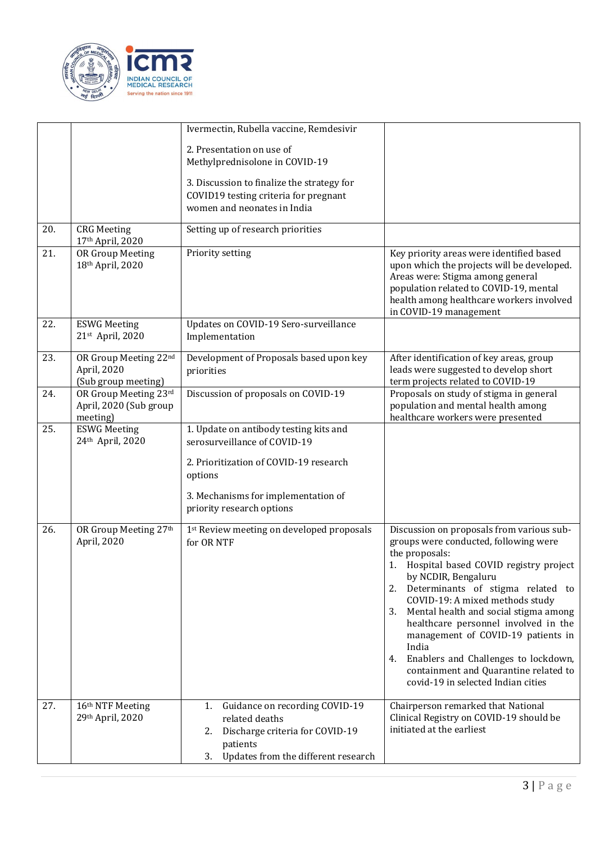

|     |                                                             | Ivermectin, Rubella vaccine, Remdesivir                                                                                                                                                         |                                                                                                                                                                                                                                                                                                                                                                                                                                                                                                                       |
|-----|-------------------------------------------------------------|-------------------------------------------------------------------------------------------------------------------------------------------------------------------------------------------------|-----------------------------------------------------------------------------------------------------------------------------------------------------------------------------------------------------------------------------------------------------------------------------------------------------------------------------------------------------------------------------------------------------------------------------------------------------------------------------------------------------------------------|
|     |                                                             | 2. Presentation on use of<br>Methylprednisolone in COVID-19                                                                                                                                     |                                                                                                                                                                                                                                                                                                                                                                                                                                                                                                                       |
|     |                                                             | 3. Discussion to finalize the strategy for<br>COVID19 testing criteria for pregnant<br>women and neonates in India                                                                              |                                                                                                                                                                                                                                                                                                                                                                                                                                                                                                                       |
| 20. | <b>CRG</b> Meeting<br>17th April, 2020                      | Setting up of research priorities                                                                                                                                                               |                                                                                                                                                                                                                                                                                                                                                                                                                                                                                                                       |
| 21. | OR Group Meeting<br>18th April, 2020                        | Priority setting                                                                                                                                                                                | Key priority areas were identified based<br>upon which the projects will be developed.<br>Areas were: Stigma among general<br>population related to COVID-19, mental<br>health among healthcare workers involved<br>in COVID-19 management                                                                                                                                                                                                                                                                            |
| 22. | <b>ESWG Meeting</b><br>21st April, 2020                     | Updates on COVID-19 Sero-surveillance<br>Implementation                                                                                                                                         |                                                                                                                                                                                                                                                                                                                                                                                                                                                                                                                       |
| 23. | OR Group Meeting 22nd<br>April, 2020<br>(Sub group meeting) | Development of Proposals based upon key<br>priorities                                                                                                                                           | After identification of key areas, group<br>leads were suggested to develop short<br>term projects related to COVID-19                                                                                                                                                                                                                                                                                                                                                                                                |
| 24. | OR Group Meeting 23rd<br>April, 2020 (Sub group<br>meeting) | Discussion of proposals on COVID-19                                                                                                                                                             | Proposals on study of stigma in general<br>population and mental health among<br>healthcare workers were presented                                                                                                                                                                                                                                                                                                                                                                                                    |
| 25. | <b>ESWG Meeting</b><br>24th April, 2020                     | 1. Update on antibody testing kits and<br>serosurveillance of COVID-19<br>2. Prioritization of COVID-19 research<br>options<br>3. Mechanisms for implementation of<br>priority research options |                                                                                                                                                                                                                                                                                                                                                                                                                                                                                                                       |
| 26. | OR Group Meeting 27th<br>April, 2020                        | 1st Review meeting on developed proposals<br>for OR NTF                                                                                                                                         | Discussion on proposals from various sub-<br>groups were conducted, following were<br>the proposals:<br>1. Hospital based COVID registry project<br>by NCDIR, Bengaluru<br>2. Determinants of stigma related to<br>COVID-19: A mixed methods study<br>Mental health and social stigma among<br>3.<br>healthcare personnel involved in the<br>management of COVID-19 patients in<br>India<br>Enablers and Challenges to lockdown,<br>4.<br>containment and Quarantine related to<br>covid-19 in selected Indian cities |
| 27. | 16th NTF Meeting<br>29th April, 2020                        | Guidance on recording COVID-19<br>1.<br>related deaths<br>Discharge criteria for COVID-19<br>2.<br>patients<br>Updates from the different research<br>3.                                        | Chairperson remarked that National<br>Clinical Registry on COVID-19 should be<br>initiated at the earliest                                                                                                                                                                                                                                                                                                                                                                                                            |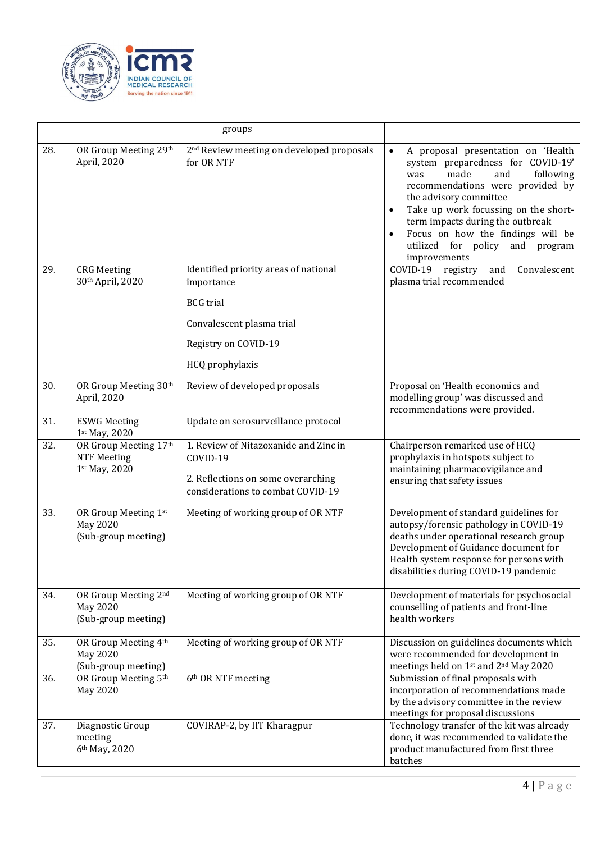

|     |                                                              | groups                                                                                                                       |                                                                                                                                                                                                                                                                                                                                              |
|-----|--------------------------------------------------------------|------------------------------------------------------------------------------------------------------------------------------|----------------------------------------------------------------------------------------------------------------------------------------------------------------------------------------------------------------------------------------------------------------------------------------------------------------------------------------------|
| 28. | OR Group Meeting 29th<br>April, 2020                         | 2 <sup>nd</sup> Review meeting on developed proposals<br>for OR NTF                                                          | A proposal presentation on 'Health<br>system preparedness for COVID-19'<br>made<br>following<br>and<br>was<br>recommendations were provided by<br>the advisory committee<br>Take up work focussing on the short-<br>term impacts during the outbreak<br>Focus on how the findings will be<br>utilized for policy and program<br>improvements |
| 29. | <b>CRG</b> Meeting<br>30th April, 2020                       | Identified priority areas of national<br>importance<br><b>BCG</b> trial                                                      | Convalescent<br>COVID-19 registry<br>and<br>plasma trial recommended                                                                                                                                                                                                                                                                         |
|     |                                                              | Convalescent plasma trial                                                                                                    |                                                                                                                                                                                                                                                                                                                                              |
|     |                                                              | Registry on COVID-19<br>HCQ prophylaxis                                                                                      |                                                                                                                                                                                                                                                                                                                                              |
| 30. | OR Group Meeting 30th<br>April, 2020                         | Review of developed proposals                                                                                                | Proposal on 'Health economics and<br>modelling group' was discussed and<br>recommendations were provided.                                                                                                                                                                                                                                    |
| 31. | <b>ESWG Meeting</b><br>1st May, 2020                         | Update on serosurveillance protocol                                                                                          |                                                                                                                                                                                                                                                                                                                                              |
| 32. | OR Group Meeting 17th<br><b>NTF Meeting</b><br>1st May, 2020 | 1. Review of Nitazoxanide and Zinc in<br>COVID-19<br>2. Reflections on some overarching<br>considerations to combat COVID-19 | Chairperson remarked use of HCQ<br>prophylaxis in hotspots subject to<br>maintaining pharmacovigilance and<br>ensuring that safety issues                                                                                                                                                                                                    |
| 33. | OR Group Meeting 1st<br>May 2020<br>(Sub-group meeting)      | Meeting of working group of OR NTF                                                                                           | Development of standard guidelines for<br>autopsy/forensic pathology in COVID-19<br>deaths under operational research group<br>Development of Guidance document for<br>Health system response for persons with<br>disabilities during COVID-19 pandemic                                                                                      |
| 34. | OR Group Meeting 2nd<br>May 2020<br>(Sub-group meeting)      | Meeting of working group of OR NTF                                                                                           | Development of materials for psychosocial<br>counselling of patients and front-line<br>health workers                                                                                                                                                                                                                                        |
| 35. | OR Group Meeting 4th<br>May 2020<br>(Sub-group meeting)      | Meeting of working group of OR NTF                                                                                           | Discussion on guidelines documents which<br>were recommended for development in<br>meetings held on 1st and 2nd May 2020                                                                                                                                                                                                                     |
| 36. | OR Group Meeting 5th<br>May 2020                             | 6th OR NTF meeting                                                                                                           | Submission of final proposals with<br>incorporation of recommendations made<br>by the advisory committee in the review<br>meetings for proposal discussions                                                                                                                                                                                  |
| 37. | Diagnostic Group<br>meeting<br>6th May, 2020                 | COVIRAP-2, by IIT Kharagpur                                                                                                  | Technology transfer of the kit was already<br>done, it was recommended to validate the<br>product manufactured from first three<br>batches                                                                                                                                                                                                   |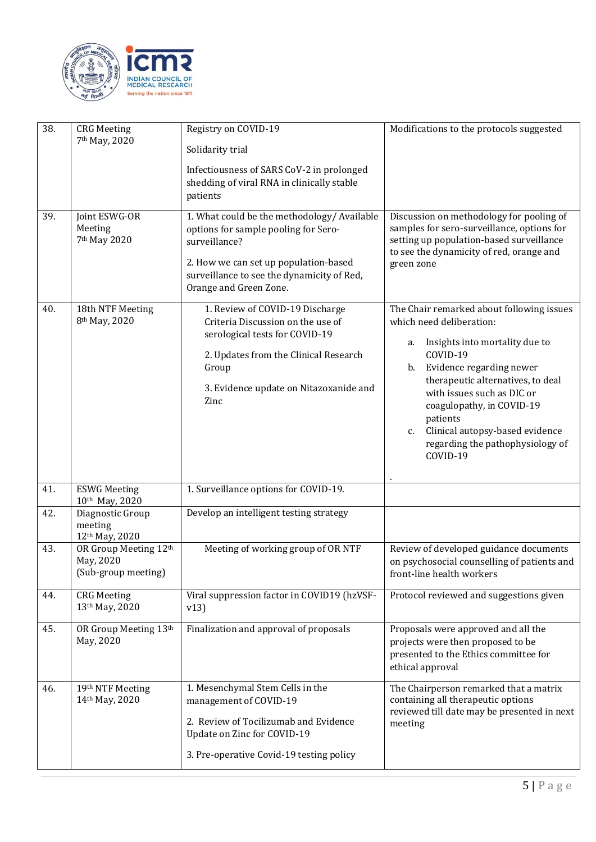

| 38.<br>39. | <b>CRG</b> Meeting<br>7 <sup>th</sup> May, 2020<br>Joint ESWG-OR<br>Meeting<br>7 <sup>th</sup> May 2020 | Registry on COVID-19<br>Solidarity trial<br>Infectiousness of SARS CoV-2 in prolonged<br>shedding of viral RNA in clinically stable<br>patients<br>1. What could be the methodology/ Available<br>options for sample pooling for Sero-<br>surveillance?<br>2. How we can set up population-based | Modifications to the protocols suggested<br>Discussion on methodology for pooling of<br>samples for sero-surveillance, options for<br>setting up population-based surveillance<br>to see the dynamicity of red, orange and<br>green zone                                                                                                                              |
|------------|---------------------------------------------------------------------------------------------------------|--------------------------------------------------------------------------------------------------------------------------------------------------------------------------------------------------------------------------------------------------------------------------------------------------|-----------------------------------------------------------------------------------------------------------------------------------------------------------------------------------------------------------------------------------------------------------------------------------------------------------------------------------------------------------------------|
|            |                                                                                                         | surveillance to see the dynamicity of Red,<br>Orange and Green Zone.                                                                                                                                                                                                                             |                                                                                                                                                                                                                                                                                                                                                                       |
| 40.        | 18th NTF Meeting<br>8 <sup>th</sup> May, 2020                                                           | 1. Review of COVID-19 Discharge<br>Criteria Discussion on the use of<br>serological tests for COVID-19<br>2. Updates from the Clinical Research<br>Group<br>3. Evidence update on Nitazoxanide and<br>Zinc                                                                                       | The Chair remarked about following issues<br>which need deliberation:<br>Insights into mortality due to<br>a.<br>COVID-19<br>Evidence regarding newer<br>b.<br>therapeutic alternatives, to deal<br>with issues such as DIC or<br>coagulopathy, in COVID-19<br>patients<br>Clinical autopsy-based evidence<br>$C_{1}$<br>regarding the pathophysiology of<br>COVID-19 |
| 41.        | <b>ESWG Meeting</b><br>10th May, 2020                                                                   | 1. Surveillance options for COVID-19.                                                                                                                                                                                                                                                            |                                                                                                                                                                                                                                                                                                                                                                       |
| 42.        | Diagnostic Group<br>meeting<br>12th May, 2020                                                           | Develop an intelligent testing strategy                                                                                                                                                                                                                                                          |                                                                                                                                                                                                                                                                                                                                                                       |
| 43.        | OR Group Meeting 12th<br>May, 2020<br>(Sub-group meeting)                                               | Meeting of working group of OR NTF                                                                                                                                                                                                                                                               | Review of developed guidance documents<br>on psychosocial counselling of patients and<br>front-line health workers                                                                                                                                                                                                                                                    |
| 44.        | <b>CRG</b> Meeting<br>13th May, 2020                                                                    | Viral suppression factor in COVID19 (hzVSF-<br>v13)                                                                                                                                                                                                                                              | Protocol reviewed and suggestions given                                                                                                                                                                                                                                                                                                                               |
| 45.        | OR Group Meeting 13th<br>May, 2020                                                                      | Finalization and approval of proposals                                                                                                                                                                                                                                                           | Proposals were approved and all the<br>projects were then proposed to be<br>presented to the Ethics committee for<br>ethical approval                                                                                                                                                                                                                                 |
| 46.        | 19th NTF Meeting<br>14th May, 2020                                                                      | 1. Mesenchymal Stem Cells in the<br>management of COVID-19<br>2. Review of Tocilizumab and Evidence<br>Update on Zinc for COVID-19<br>3. Pre-operative Covid-19 testing policy                                                                                                                   | The Chairperson remarked that a matrix<br>containing all therapeutic options<br>reviewed till date may be presented in next<br>meeting                                                                                                                                                                                                                                |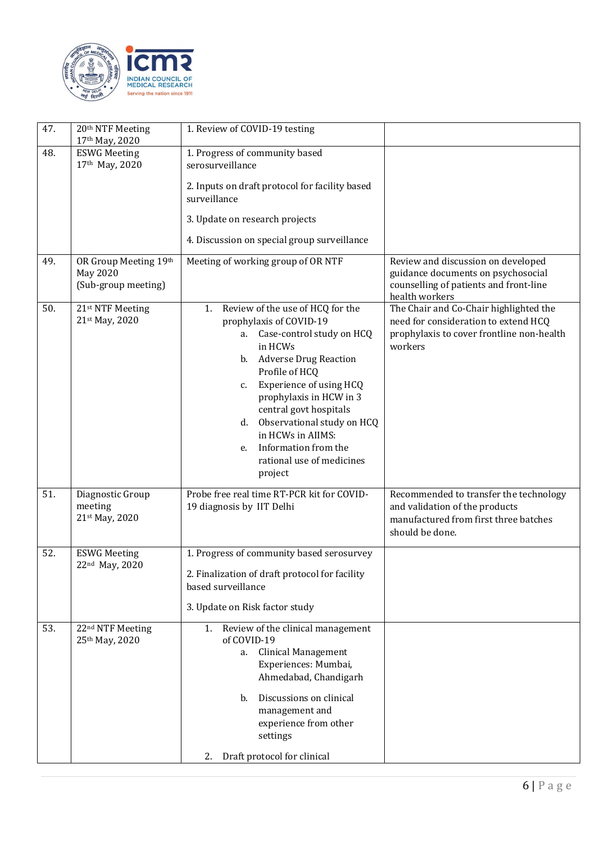

| 47. | 20th NTF Meeting<br>17th May, 2020                       | 1. Review of COVID-19 testing                                                                                                                                                                                                                                                                                                                                                             |                                                                                                                                        |
|-----|----------------------------------------------------------|-------------------------------------------------------------------------------------------------------------------------------------------------------------------------------------------------------------------------------------------------------------------------------------------------------------------------------------------------------------------------------------------|----------------------------------------------------------------------------------------------------------------------------------------|
| 48. | <b>ESWG Meeting</b><br>17th May, 2020                    | 1. Progress of community based<br>serosurveillance<br>2. Inputs on draft protocol for facility based<br>surveillance<br>3. Update on research projects<br>4. Discussion on special group surveillance                                                                                                                                                                                     |                                                                                                                                        |
| 49. | OR Group Meeting 19th<br>May 2020<br>(Sub-group meeting) | Meeting of working group of OR NTF                                                                                                                                                                                                                                                                                                                                                        | Review and discussion on developed<br>guidance documents on psychosocial<br>counselling of patients and front-line<br>health workers   |
| 50. | 21st NTF Meeting<br>21st May, 2020                       | Review of the use of HCQ for the<br>1.<br>prophylaxis of COVID-19<br>a. Case-control study on HCQ<br>in HCWs<br><b>Adverse Drug Reaction</b><br>b.<br>Profile of HCQ<br>Experience of using HCQ<br>c.<br>prophylaxis in HCW in 3<br>central govt hospitals<br>Observational study on HCQ<br>d.<br>in HCWs in AIIMS:<br>Information from the<br>e.<br>rational use of medicines<br>project | The Chair and Co-Chair highlighted the<br>need for consideration to extend HCQ<br>prophylaxis to cover frontline non-health<br>workers |
| 51. | Diagnostic Group<br>meeting<br>21st May, 2020            | Probe free real time RT-PCR kit for COVID-<br>19 diagnosis by IIT Delhi                                                                                                                                                                                                                                                                                                                   | Recommended to transfer the technology<br>and validation of the products<br>manufactured from first three batches<br>should be done.   |
| 52. | <b>ESWG Meeting</b><br>22nd May, 2020                    | 1. Progress of community based serosurvey<br>2. Finalization of draft protocol for facility<br>based surveillance<br>3. Update on Risk factor study                                                                                                                                                                                                                                       |                                                                                                                                        |
| 53. | 22 <sup>nd</sup> NTF Meeting<br>25th May, 2020           | Review of the clinical management<br>1.<br>of COVID-19<br>a. Clinical Management<br>Experiences: Mumbai,<br>Ahmedabad, Chandigarh<br>Discussions on clinical<br>b.<br>management and<br>experience from other<br>settings<br>Draft protocol for clinical<br>2.                                                                                                                            |                                                                                                                                        |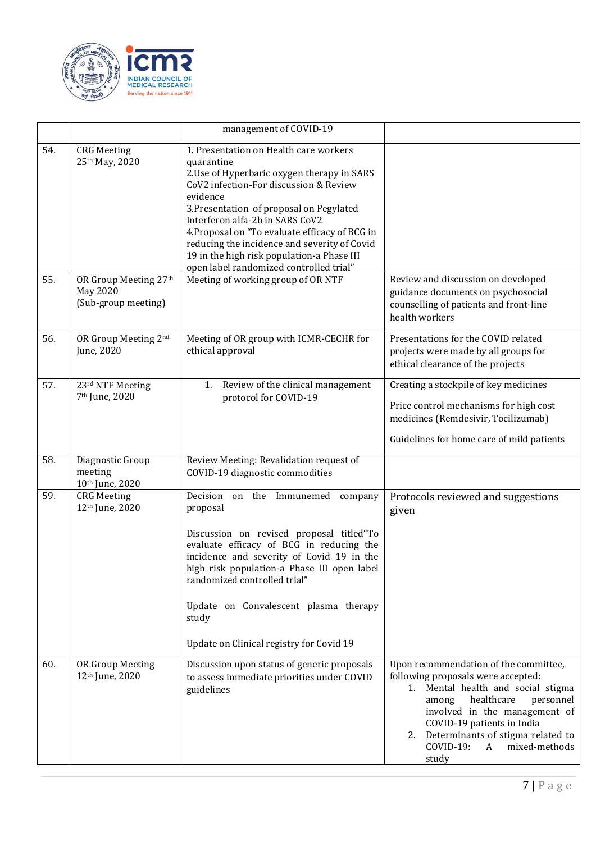

|     |                                                                 | management of COVID-19                                                                                                                                                                                                                                                                                                                                                                                                              |                                                                                                                                                                                                                                                                                                                     |
|-----|-----------------------------------------------------------------|-------------------------------------------------------------------------------------------------------------------------------------------------------------------------------------------------------------------------------------------------------------------------------------------------------------------------------------------------------------------------------------------------------------------------------------|---------------------------------------------------------------------------------------------------------------------------------------------------------------------------------------------------------------------------------------------------------------------------------------------------------------------|
| 54. | <b>CRG Meeting</b><br>25th May, 2020                            | 1. Presentation on Health care workers<br>quarantine<br>2. Use of Hyperbaric oxygen therapy in SARS<br>CoV2 infection-For discussion & Review<br>evidence<br>3. Presentation of proposal on Pegylated<br>Interferon alfa-2b in SARS CoV2<br>4. Proposal on "To evaluate efficacy of BCG in<br>reducing the incidence and severity of Covid<br>19 in the high risk population-a Phase III<br>open label randomized controlled trial" |                                                                                                                                                                                                                                                                                                                     |
| 55. | OR Group Meeting 27th<br><b>May 2020</b><br>(Sub-group meeting) | Meeting of working group of OR NTF                                                                                                                                                                                                                                                                                                                                                                                                  | Review and discussion on developed<br>guidance documents on psychosocial<br>counselling of patients and front-line<br>health workers                                                                                                                                                                                |
| 56. | OR Group Meeting 2nd<br>June, 2020                              | Meeting of OR group with ICMR-CECHR for<br>ethical approval                                                                                                                                                                                                                                                                                                                                                                         | Presentations for the COVID related<br>projects were made by all groups for<br>ethical clearance of the projects                                                                                                                                                                                                    |
| 57. | 23rd NTF Meeting<br>7 <sup>th</sup> June, 2020                  | Review of the clinical management<br>1.<br>protocol for COVID-19                                                                                                                                                                                                                                                                                                                                                                    | Creating a stockpile of key medicines<br>Price control mechanisms for high cost<br>medicines (Remdesivir, Tocilizumab)<br>Guidelines for home care of mild patients                                                                                                                                                 |
| 58. | Diagnostic Group<br>meeting<br>10th June, 2020                  | Review Meeting: Revalidation request of<br>COVID-19 diagnostic commodities                                                                                                                                                                                                                                                                                                                                                          |                                                                                                                                                                                                                                                                                                                     |
| 59. | <b>CRG</b> Meeting<br>12th June, 2020                           | Decision on the Immunemed<br>company<br>proposal<br>Discussion on revised proposal titled"To<br>evaluate efficacy of BCG in reducing the<br>incidence and severity of Covid 19 in the<br>high risk population-a Phase III open label<br>randomized controlled trial"<br>Update on Convalescent plasma therapy<br>study<br>Update on Clinical registry for Covid 19                                                                  | Protocols reviewed and suggestions<br>given                                                                                                                                                                                                                                                                         |
| 60. | OR Group Meeting<br>12 <sup>th</sup> June, 2020                 | Discussion upon status of generic proposals<br>to assess immediate priorities under COVID<br>guidelines                                                                                                                                                                                                                                                                                                                             | Upon recommendation of the committee,<br>following proposals were accepted:<br>1. Mental health and social stigma<br>healthcare<br>personnel<br>among<br>involved in the management of<br>COVID-19 patients in India<br>2. Determinants of stigma related to<br>COVID-19:<br>mixed-methods<br>$\mathbf{A}$<br>study |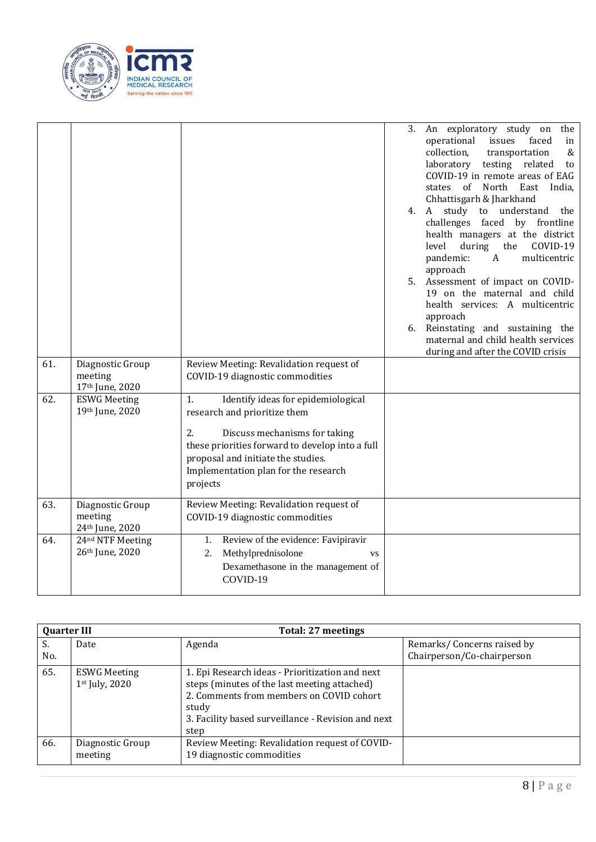

|     |                                                |                                                                                                                                                                                                                                                              | 3. An exploratory study on<br>the<br>operational<br>issues<br>faced<br>in<br>collection,<br>&<br>transportation<br>laboratory testing related<br>to<br>COVID-19 in remote areas of EAG<br>states of North East India,<br>Chhattisgarh & Jharkhand<br>4. A study to understand<br>the<br>challenges faced by frontline<br>health managers at the district<br>during the<br>COVID-19<br>level<br>$\mathbf{A}$<br>pandemic:<br>multicentric<br>approach<br>5. Assessment of impact on COVID-<br>19 on the maternal and child<br>health services: A multicentric<br>approach<br>6. Reinstating and sustaining the<br>maternal and child health services |
|-----|------------------------------------------------|--------------------------------------------------------------------------------------------------------------------------------------------------------------------------------------------------------------------------------------------------------------|-----------------------------------------------------------------------------------------------------------------------------------------------------------------------------------------------------------------------------------------------------------------------------------------------------------------------------------------------------------------------------------------------------------------------------------------------------------------------------------------------------------------------------------------------------------------------------------------------------------------------------------------------------|
| 61. | Diagnostic Group<br>meeting<br>17th June, 2020 | Review Meeting: Revalidation request of<br>COVID-19 diagnostic commodities                                                                                                                                                                                   | during and after the COVID crisis                                                                                                                                                                                                                                                                                                                                                                                                                                                                                                                                                                                                                   |
| 62. | <b>ESWG Meeting</b><br>19th June, 2020         | Identify ideas for epidemiological<br>1.<br>research and prioritize them<br>2.<br>Discuss mechanisms for taking<br>these priorities forward to develop into a full<br>proposal and initiate the studies.<br>Implementation plan for the research<br>projects |                                                                                                                                                                                                                                                                                                                                                                                                                                                                                                                                                                                                                                                     |
| 63. | Diagnostic Group<br>meeting<br>24th June, 2020 | Review Meeting: Revalidation request of<br>COVID-19 diagnostic commodities                                                                                                                                                                                   |                                                                                                                                                                                                                                                                                                                                                                                                                                                                                                                                                                                                                                                     |
| 64. | 24nd NTF Meeting<br>26th June, 2020            | 1. Review of the evidence: Favipiravir<br>Methylprednisolone<br>2.<br><b>VS</b><br>Dexamethasone in the management of<br>COVID-19                                                                                                                            |                                                                                                                                                                                                                                                                                                                                                                                                                                                                                                                                                                                                                                                     |

| <b>Quarter III</b> |                                         | Total: 27 meetings                                                                                                                                                                                                 |                                                          |  |
|--------------------|-----------------------------------------|--------------------------------------------------------------------------------------------------------------------------------------------------------------------------------------------------------------------|----------------------------------------------------------|--|
| S.<br>No.          | Date                                    | Agenda                                                                                                                                                                                                             | Remarks/Concerns raised by<br>Chairperson/Co-chairperson |  |
| 65.                | <b>ESWG Meeting</b><br>$1st$ July, 2020 | 1. Epi Research ideas - Prioritization and next<br>steps (minutes of the last meeting attached)<br>2. Comments from members on COVID cohort<br>study<br>3. Facility based surveillance - Revision and next<br>step |                                                          |  |
| 66.                | Diagnostic Group<br>meeting             | Review Meeting: Revalidation request of COVID-<br>19 diagnostic commodities                                                                                                                                        |                                                          |  |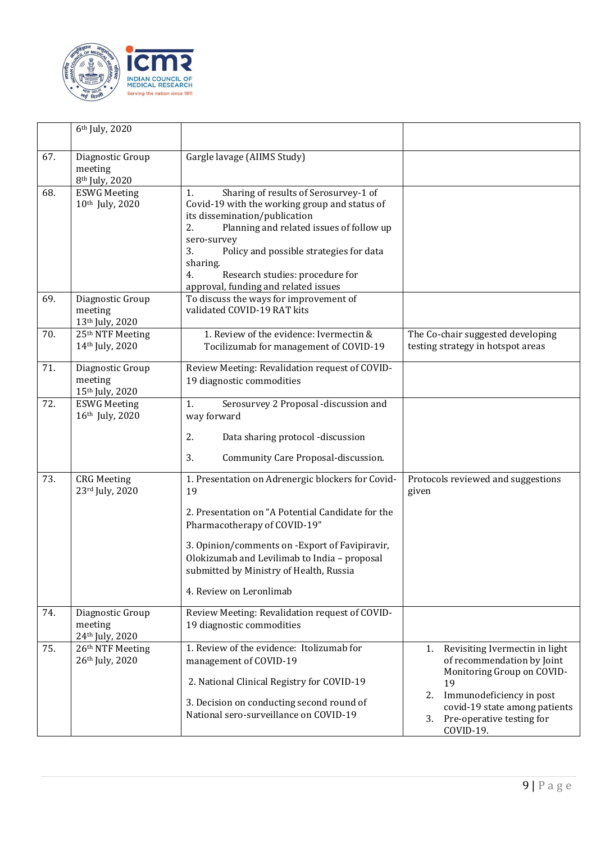

|     | 6 <sup>th</sup> July, 2020                                |                                                                                                                                                                                                                                                                                                                                              |                                                                                                                                                                                                                           |
|-----|-----------------------------------------------------------|----------------------------------------------------------------------------------------------------------------------------------------------------------------------------------------------------------------------------------------------------------------------------------------------------------------------------------------------|---------------------------------------------------------------------------------------------------------------------------------------------------------------------------------------------------------------------------|
| 67. | Diagnostic Group<br>meeting<br>8 <sup>th</sup> July, 2020 | Gargle lavage (AIIMS Study)                                                                                                                                                                                                                                                                                                                  |                                                                                                                                                                                                                           |
| 68. | <b>ESWG Meeting</b><br>10th July, 2020                    | Sharing of results of Serosurvey-1 of<br>1.<br>Covid-19 with the working group and status of<br>its dissemination/publication<br>2.<br>Planning and related issues of follow up<br>sero-survey<br>3.<br>Policy and possible strategies for data<br>sharing.<br>4.<br>Research studies: procedure for<br>approval, funding and related issues |                                                                                                                                                                                                                           |
| 69. | Diagnostic Group<br>meeting<br>13th July, 2020            | To discuss the ways for improvement of<br>validated COVID-19 RAT kits                                                                                                                                                                                                                                                                        |                                                                                                                                                                                                                           |
| 70. | $25th$ NTF Meeting<br>14th July, 2020                     | 1. Review of the evidence: Ivermectin &<br>Tocilizumab for management of COVID-19                                                                                                                                                                                                                                                            | The Co-chair suggested developing<br>testing strategy in hotspot areas                                                                                                                                                    |
| 71. | Diagnostic Group<br>meeting<br>15th July, 2020            | Review Meeting: Revalidation request of COVID-<br>19 diagnostic commodities                                                                                                                                                                                                                                                                  |                                                                                                                                                                                                                           |
| 72. | <b>ESWG Meeting</b><br>16th July, 2020                    | Serosurvey 2 Proposal -discussion and<br>1.<br>way forward<br>2.<br>Data sharing protocol -discussion<br>3.<br>Community Care Proposal-discussion.                                                                                                                                                                                           |                                                                                                                                                                                                                           |
| 73. | <b>CRG</b> Meeting<br>23rd July, 2020                     | 1. Presentation on Adrenergic blockers for Covid-<br>19<br>2. Presentation on "A Potential Candidate for the<br>Pharmacotherapy of COVID-19"<br>3. Opinion/comments on -Export of Favipiravir,<br>Olokizumab and Levilimab to India - proposal<br>submitted by Ministry of Health, Russia<br>4. Review on Leronlimab                         | Protocols reviewed and suggestions<br>given                                                                                                                                                                               |
| 74. | Diagnostic Group<br>meeting<br>24th July, 2020            | Review Meeting: Revalidation request of COVID-<br>19 diagnostic commodities                                                                                                                                                                                                                                                                  |                                                                                                                                                                                                                           |
| 75. | 26th NTF Meeting<br>26th July, 2020                       | 1. Review of the evidence: Itolizumab for<br>management of COVID-19<br>2. National Clinical Registry for COVID-19<br>3. Decision on conducting second round of<br>National sero-surveillance on COVID-19                                                                                                                                     | Revisiting Ivermectin in light<br>1.<br>of recommendation by Joint<br>Monitoring Group on COVID-<br>19<br>Immunodeficiency in post<br>2.<br>covid-19 state among patients<br>3.<br>Pre-operative testing for<br>COVID-19. |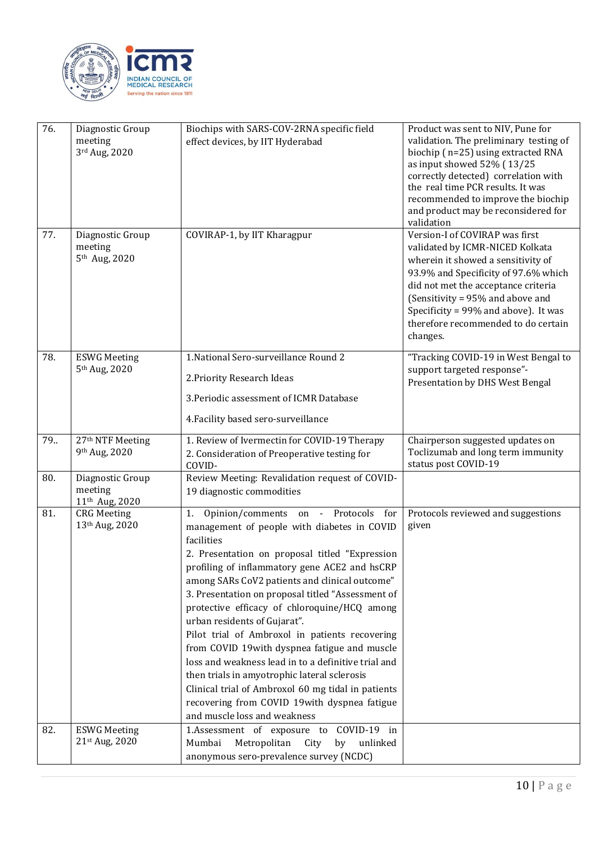

| 76. | Diagnostic Group<br>meeting<br>3rd Aug, 2020              | Biochips with SARS-COV-2RNA specific field<br>effect devices, by IIT Hyderabad                                                                                                                                                                                                                                                                                                                                                                                                                                                                                                                                                                                                                                                                  | Product was sent to NIV, Pune for<br>validation. The preliminary testing of<br>biochip (n=25) using extracted RNA                                                                                                                                                                                                     |
|-----|-----------------------------------------------------------|-------------------------------------------------------------------------------------------------------------------------------------------------------------------------------------------------------------------------------------------------------------------------------------------------------------------------------------------------------------------------------------------------------------------------------------------------------------------------------------------------------------------------------------------------------------------------------------------------------------------------------------------------------------------------------------------------------------------------------------------------|-----------------------------------------------------------------------------------------------------------------------------------------------------------------------------------------------------------------------------------------------------------------------------------------------------------------------|
|     |                                                           |                                                                                                                                                                                                                                                                                                                                                                                                                                                                                                                                                                                                                                                                                                                                                 | as input showed 52% (13/25<br>correctly detected) correlation with<br>the real time PCR results. It was<br>recommended to improve the biochip<br>and product may be reconsidered for<br>validation                                                                                                                    |
| 77. | Diagnostic Group<br>meeting<br>5 <sup>th</sup> Aug, 2020  | COVIRAP-1, by IIT Kharagpur                                                                                                                                                                                                                                                                                                                                                                                                                                                                                                                                                                                                                                                                                                                     | Version-I of COVIRAP was first<br>validated by ICMR-NICED Kolkata<br>wherein it showed a sensitivity of<br>93.9% and Specificity of 97.6% which<br>did not met the acceptance criteria<br>(Sensitivity = 95% and above and<br>Specificity = 99% and above). It was<br>therefore recommended to do certain<br>changes. |
| 78. | <b>ESWG Meeting</b><br>5 <sup>th</sup> Aug, 2020          | 1. National Sero-surveillance Round 2                                                                                                                                                                                                                                                                                                                                                                                                                                                                                                                                                                                                                                                                                                           | "Tracking COVID-19 in West Bengal to<br>support targeted response"-                                                                                                                                                                                                                                                   |
|     |                                                           | 2. Priority Research Ideas                                                                                                                                                                                                                                                                                                                                                                                                                                                                                                                                                                                                                                                                                                                      | Presentation by DHS West Bengal                                                                                                                                                                                                                                                                                       |
|     |                                                           | 3. Periodic assessment of ICMR Database                                                                                                                                                                                                                                                                                                                                                                                                                                                                                                                                                                                                                                                                                                         |                                                                                                                                                                                                                                                                                                                       |
|     |                                                           | 4. Facility based sero-surveillance                                                                                                                                                                                                                                                                                                                                                                                                                                                                                                                                                                                                                                                                                                             |                                                                                                                                                                                                                                                                                                                       |
| 79. | 27th NTF Meeting<br>9th Aug, 2020                         | 1. Review of Ivermectin for COVID-19 Therapy<br>2. Consideration of Preoperative testing for<br>COVID-                                                                                                                                                                                                                                                                                                                                                                                                                                                                                                                                                                                                                                          | Chairperson suggested updates on<br>Toclizumab and long term immunity<br>status post COVID-19                                                                                                                                                                                                                         |
| 80. | Diagnostic Group<br>meeting<br>11 <sup>th</sup> Aug, 2020 | Review Meeting: Revalidation request of COVID-<br>19 diagnostic commodities                                                                                                                                                                                                                                                                                                                                                                                                                                                                                                                                                                                                                                                                     |                                                                                                                                                                                                                                                                                                                       |
| 81. | <b>CRG</b> Meeting<br>13th Aug, 2020                      | Opinion/comments on - Protocols for<br>1.<br>management of people with diabetes in COVID<br>facilities<br>2. Presentation on proposal titled "Expression<br>profiling of inflammatory gene ACE2 and hsCRP<br>among SARs CoV2 patients and clinical outcome"<br>3. Presentation on proposal titled "Assessment of<br>protective efficacy of chloroquine/HCQ among<br>urban residents of Gujarat".<br>Pilot trial of Ambroxol in patients recovering<br>from COVID 19with dyspnea fatigue and muscle<br>loss and weakness lead in to a definitive trial and<br>then trials in amyotrophic lateral sclerosis<br>Clinical trial of Ambroxol 60 mg tidal in patients<br>recovering from COVID 19with dyspnea fatigue<br>and muscle loss and weakness | Protocols reviewed and suggestions<br>given                                                                                                                                                                                                                                                                           |
| 82. | <b>ESWG Meeting</b><br>21st Aug, 2020                     | 1.Assessment of exposure to COVID-19 in<br>Metropolitan<br>Mumbai<br>City<br>by<br>unlinked<br>anonymous sero-prevalence survey (NCDC)                                                                                                                                                                                                                                                                                                                                                                                                                                                                                                                                                                                                          |                                                                                                                                                                                                                                                                                                                       |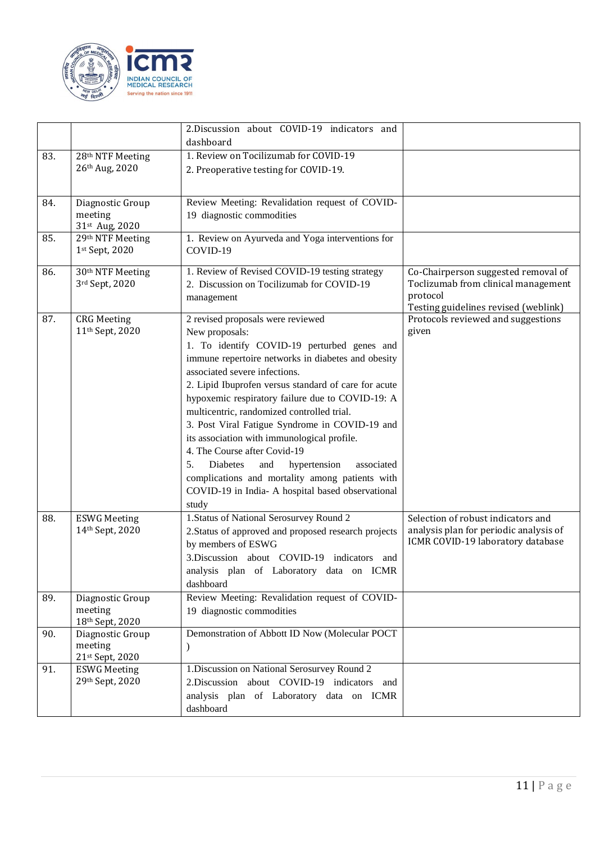

|     |                                                   | 2.Discussion about COVID-19 indicators and<br>dashboard                                                                                                                                                                                                                                                                                                                                                                                                                                                                                                                                                                                                      |                                                                                                                                |
|-----|---------------------------------------------------|--------------------------------------------------------------------------------------------------------------------------------------------------------------------------------------------------------------------------------------------------------------------------------------------------------------------------------------------------------------------------------------------------------------------------------------------------------------------------------------------------------------------------------------------------------------------------------------------------------------------------------------------------------------|--------------------------------------------------------------------------------------------------------------------------------|
| 83. | 28 <sup>th</sup> NTF Meeting<br>26th Aug, 2020    | 1. Review on Tocilizumab for COVID-19<br>2. Preoperative testing for COVID-19.                                                                                                                                                                                                                                                                                                                                                                                                                                                                                                                                                                               |                                                                                                                                |
| 84. | Diagnostic Group<br>meeting<br>31st Aug, 2020     | Review Meeting: Revalidation request of COVID-<br>19 diagnostic commodities                                                                                                                                                                                                                                                                                                                                                                                                                                                                                                                                                                                  |                                                                                                                                |
| 85. | 29th NTF Meeting<br>1st Sept, 2020                | 1. Review on Ayurveda and Yoga interventions for<br>COVID-19                                                                                                                                                                                                                                                                                                                                                                                                                                                                                                                                                                                                 |                                                                                                                                |
| 86. | 30 <sup>th</sup> NTF Meeting<br>3rd Sept, 2020    | 1. Review of Revised COVID-19 testing strategy<br>2. Discussion on Tocilizumab for COVID-19<br>management                                                                                                                                                                                                                                                                                                                                                                                                                                                                                                                                                    | Co-Chairperson suggested removal of<br>Toclizumab from clinical management<br>protocol<br>Testing guidelines revised (weblink) |
| 87. | <b>CRG</b> Meeting<br>11 <sup>th</sup> Sept, 2020 | 2 revised proposals were reviewed<br>New proposals:<br>1. To identify COVID-19 perturbed genes and<br>immune repertoire networks in diabetes and obesity<br>associated severe infections.<br>2. Lipid Ibuprofen versus standard of care for acute<br>hypoxemic respiratory failure due to COVID-19: A<br>multicentric, randomized controlled trial.<br>3. Post Viral Fatigue Syndrome in COVID-19 and<br>its association with immunological profile.<br>4. The Course after Covid-19<br>5.<br>Diabetes<br>hypertension<br>and<br>associated<br>complications and mortality among patients with<br>COVID-19 in India- A hospital based observational<br>study | Protocols reviewed and suggestions<br>given                                                                                    |
| 88. | <b>ESWG Meeting</b><br>14th Sept, 2020            | 1. Status of National Serosurvey Round 2<br>2. Status of approved and proposed research projects<br>by members of ESWG<br>3. Discussion about COVID-19 indicators and<br>analysis plan of Laboratory data on ICMR<br>dashboard                                                                                                                                                                                                                                                                                                                                                                                                                               | Selection of robust indicators and<br>analysis plan for periodic analysis of<br>ICMR COVID-19 laboratory database              |
| 89. | Diagnostic Group<br>meeting<br>18th Sept, 2020    | Review Meeting: Revalidation request of COVID-<br>19 diagnostic commodities                                                                                                                                                                                                                                                                                                                                                                                                                                                                                                                                                                                  |                                                                                                                                |
| 90. | Diagnostic Group<br>meeting<br>21st Sept, 2020    | Demonstration of Abbott ID Now (Molecular POCT<br>$\lambda$                                                                                                                                                                                                                                                                                                                                                                                                                                                                                                                                                                                                  |                                                                                                                                |
| 91. | <b>ESWG Meeting</b><br>29th Sept, 2020            | 1. Discussion on National Serosurvey Round 2<br>2.Discussion about COVID-19 indicators and<br>analysis plan of Laboratory data on ICMR<br>dashboard                                                                                                                                                                                                                                                                                                                                                                                                                                                                                                          |                                                                                                                                |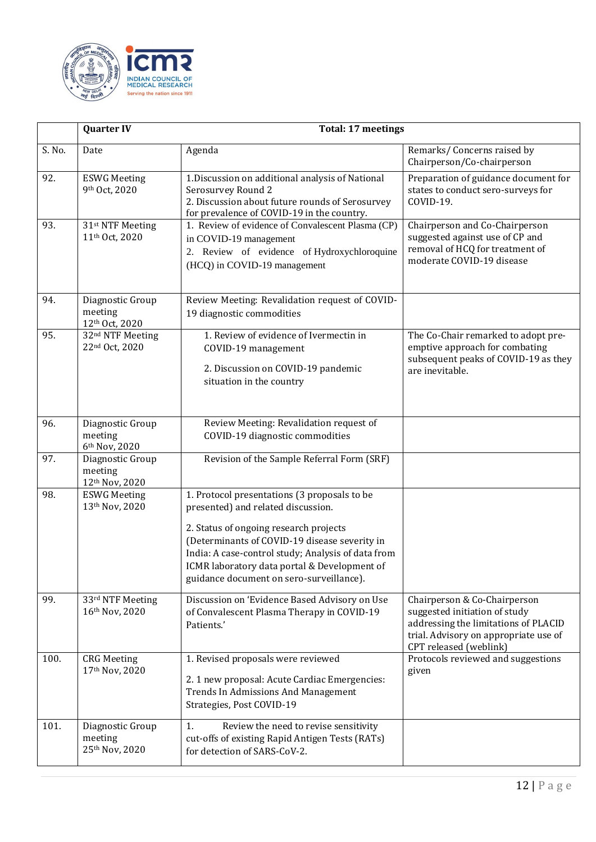

|        | <b>Quarter IV</b>                                          | <b>Total: 17 meetings</b>                                                                                                                                                                                                                                                                                                       |                                                                                                                                                                          |
|--------|------------------------------------------------------------|---------------------------------------------------------------------------------------------------------------------------------------------------------------------------------------------------------------------------------------------------------------------------------------------------------------------------------|--------------------------------------------------------------------------------------------------------------------------------------------------------------------------|
| S. No. | Date                                                       | Agenda                                                                                                                                                                                                                                                                                                                          | Remarks/ Concerns raised by<br>Chairperson/Co-chairperson                                                                                                                |
| 92.    | <b>ESWG Meeting</b><br>9th Oct, 2020                       | 1. Discussion on additional analysis of National<br>Serosurvey Round 2<br>2. Discussion about future rounds of Serosurvey<br>for prevalence of COVID-19 in the country.                                                                                                                                                         | Preparation of guidance document for<br>states to conduct sero-surveys for<br>COVID-19.                                                                                  |
| 93.    | 31 <sup>st</sup> NTF Meeting<br>11 <sup>th</sup> Oct, 2020 | 1. Review of evidence of Convalescent Plasma (CP)<br>in COVID-19 management<br>2. Review of evidence of Hydroxychloroquine<br>(HCQ) in COVID-19 management                                                                                                                                                                      | Chairperson and Co-Chairperson<br>suggested against use of CP and<br>removal of HCQ for treatment of<br>moderate COVID-19 disease                                        |
| 94.    | Diagnostic Group<br>meeting<br>12th Oct, 2020              | Review Meeting: Revalidation request of COVID-<br>19 diagnostic commodities                                                                                                                                                                                                                                                     |                                                                                                                                                                          |
| 95.    | 32 <sup>nd</sup> NTF Meeting<br>22nd Oct, 2020             | 1. Review of evidence of Ivermectin in<br>COVID-19 management<br>2. Discussion on COVID-19 pandemic<br>situation in the country                                                                                                                                                                                                 | The Co-Chair remarked to adopt pre-<br>emptive approach for combating<br>subsequent peaks of COVID-19 as they<br>are inevitable.                                         |
| 96.    | Diagnostic Group<br>meeting<br>6th Nov, 2020               | Review Meeting: Revalidation request of<br>COVID-19 diagnostic commodities                                                                                                                                                                                                                                                      |                                                                                                                                                                          |
| 97.    | Diagnostic Group<br>meeting<br>12th Nov, 2020              | Revision of the Sample Referral Form (SRF)                                                                                                                                                                                                                                                                                      |                                                                                                                                                                          |
| 98.    | <b>ESWG Meeting</b><br>13th Nov, 2020                      | 1. Protocol presentations (3 proposals to be<br>presented) and related discussion.<br>2. Status of ongoing research projects<br>(Determinants of COVID-19 disease severity in<br>India: A case-control study; Analysis of data from<br>ICMR laboratory data portal & Development of<br>guidance document on sero-surveillance). |                                                                                                                                                                          |
| 99.    | 33rd NTF Meeting<br>16th Nov, 2020                         | Discussion on 'Evidence Based Advisory on Use<br>of Convalescent Plasma Therapy in COVID-19<br>Patients.'                                                                                                                                                                                                                       | Chairperson & Co-Chairperson<br>suggested initiation of study<br>addressing the limitations of PLACID<br>trial. Advisory on appropriate use of<br>CPT released (weblink) |
| 100.   | <b>CRG</b> Meeting<br>17th Nov, 2020                       | 1. Revised proposals were reviewed<br>2. 1 new proposal: Acute Cardiac Emergencies:<br>Trends In Admissions And Management<br>Strategies, Post COVID-19                                                                                                                                                                         | Protocols reviewed and suggestions<br>given                                                                                                                              |
| 101.   | Diagnostic Group<br>meeting<br>25th Nov, 2020              | Review the need to revise sensitivity<br>1.<br>cut-offs of existing Rapid Antigen Tests (RATs)<br>for detection of SARS-CoV-2.                                                                                                                                                                                                  |                                                                                                                                                                          |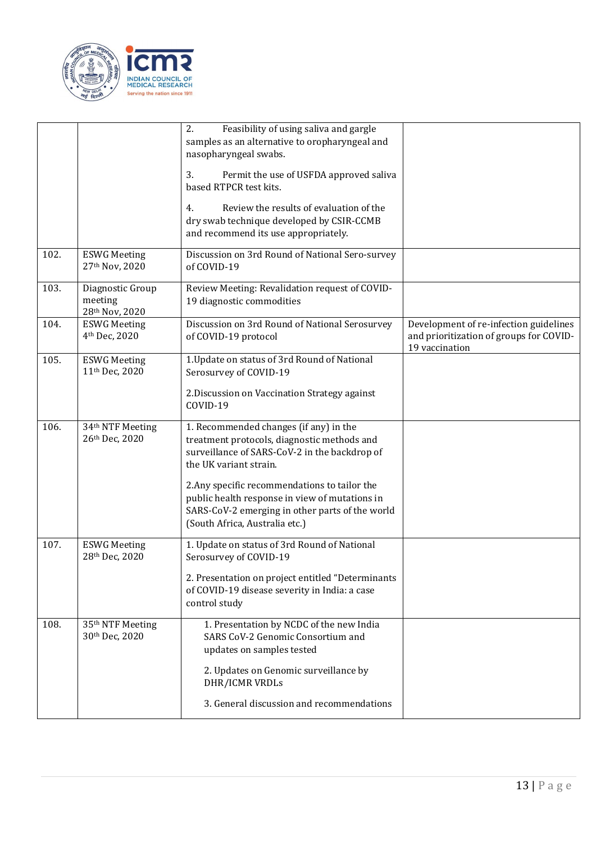

|      |                                                   | Feasibility of using saliva and gargle<br>2.<br>samples as an alternative to oropharyngeal and<br>nasopharyngeal swabs.<br>3.<br>Permit the use of USFDA approved saliva<br>based RTPCR test kits.<br>Review the results of evaluation of the<br>4.<br>dry swab technique developed by CSIR-CCMB<br>and recommend its use appropriately.                 |                                                                                                     |
|------|---------------------------------------------------|----------------------------------------------------------------------------------------------------------------------------------------------------------------------------------------------------------------------------------------------------------------------------------------------------------------------------------------------------------|-----------------------------------------------------------------------------------------------------|
| 102. | <b>ESWG Meeting</b><br>27th Nov, 2020             | Discussion on 3rd Round of National Sero-survey<br>of COVID-19                                                                                                                                                                                                                                                                                           |                                                                                                     |
| 103. | Diagnostic Group<br>meeting<br>28th Nov, 2020     | Review Meeting: Revalidation request of COVID-<br>19 diagnostic commodities                                                                                                                                                                                                                                                                              |                                                                                                     |
| 104. | <b>ESWG Meeting</b><br>4 <sup>th</sup> Dec, 2020  | Discussion on 3rd Round of National Serosurvey<br>of COVID-19 protocol                                                                                                                                                                                                                                                                                   | Development of re-infection guidelines<br>and prioritization of groups for COVID-<br>19 vaccination |
| 105. | <b>ESWG Meeting</b><br>11 <sup>th</sup> Dec, 2020 | 1. Update on status of 3rd Round of National<br>Serosurvey of COVID-19<br>2. Discussion on Vaccination Strategy against<br>COVID-19                                                                                                                                                                                                                      |                                                                                                     |
| 106. | 34 <sup>th</sup> NTF Meeting<br>26th Dec, 2020    | 1. Recommended changes (if any) in the<br>treatment protocols, diagnostic methods and<br>surveillance of SARS-CoV-2 in the backdrop of<br>the UK variant strain.<br>2. Any specific recommendations to tailor the<br>public health response in view of mutations in<br>SARS-CoV-2 emerging in other parts of the world<br>(South Africa, Australia etc.) |                                                                                                     |
| 107. | <b>ESWG Meeting</b><br>28th Dec, 2020             | 1. Update on status of 3rd Round of National<br>Serosurvey of COVID-19<br>2. Presentation on project entitled "Determinants<br>of COVID-19 disease severity in India: a case<br>control study                                                                                                                                                            |                                                                                                     |
| 108. | 35 <sup>th</sup> NTF Meeting<br>30th Dec, 2020    | 1. Presentation by NCDC of the new India<br>SARS CoV-2 Genomic Consortium and<br>updates on samples tested<br>2. Updates on Genomic surveillance by<br>DHR/ICMR VRDLs<br>3. General discussion and recommendations                                                                                                                                       |                                                                                                     |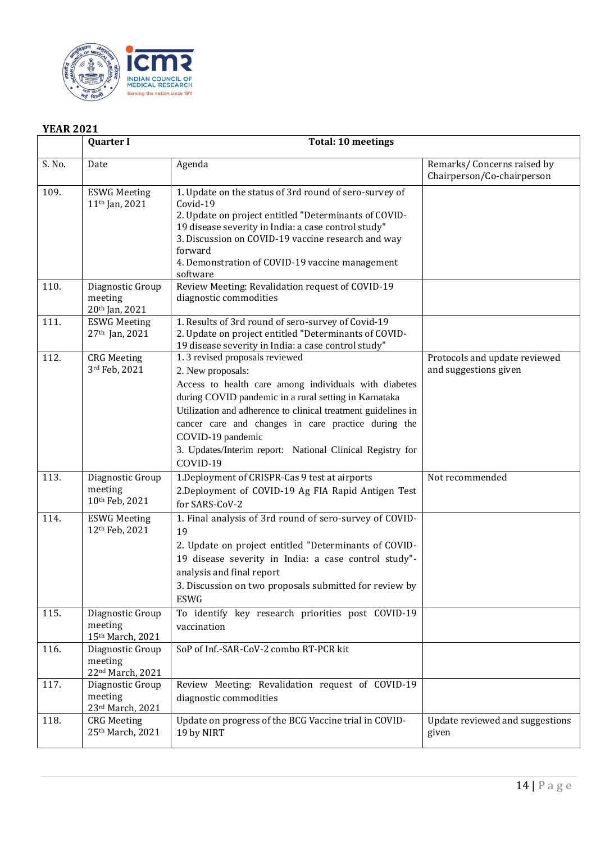

## **YEAR 2021**

|        | <b>Quarter I</b>                                  | <b>Total: 10 meetings</b>                                                                                                                                                                                                                                                                                                                                                                   |                                                          |
|--------|---------------------------------------------------|---------------------------------------------------------------------------------------------------------------------------------------------------------------------------------------------------------------------------------------------------------------------------------------------------------------------------------------------------------------------------------------------|----------------------------------------------------------|
| S. No. | Date                                              | Agenda                                                                                                                                                                                                                                                                                                                                                                                      | Remarks/Concerns raised by<br>Chairperson/Co-chairperson |
| 109.   | <b>ESWG Meeting</b><br>11 <sup>th</sup> Jan, 2021 | 1. Update on the status of 3rd round of sero-survey of<br>Covid-19<br>2. Update on project entitled "Determinants of COVID-<br>19 disease severity in India: a case control study"<br>3. Discussion on COVID-19 vaccine research and way<br>forward<br>4. Demonstration of COVID-19 vaccine management<br>software                                                                          |                                                          |
| 110.   | Diagnostic Group<br>meeting<br>20th Jan, 2021     | Review Meeting: Revalidation request of COVID-19<br>diagnostic commodities                                                                                                                                                                                                                                                                                                                  |                                                          |
| 111.   | <b>ESWG Meeting</b><br>27th Jan, 2021             | 1. Results of 3rd round of sero-survey of Covid-19<br>2. Update on project entitled "Determinants of COVID-<br>19 disease severity in India: a case control study"                                                                                                                                                                                                                          |                                                          |
| 112.   | <b>CRG</b> Meeting<br>3rd Feb, 2021               | 1.3 revised proposals reviewed<br>2. New proposals:<br>Access to health care among individuals with diabetes<br>during COVID pandemic in a rural setting in Karnataka<br>Utilization and adherence to clinical treatment guidelines in<br>cancer care and changes in care practice during the<br>COVID-19 pandemic<br>3. Updates/Interim report: National Clinical Registry for<br>COVID-19 | Protocols and update reviewed<br>and suggestions given   |
| 113.   | Diagnostic Group<br>meeting<br>10th Feb, 2021     | 1. Deployment of CRISPR-Cas 9 test at airports<br>2. Deployment of COVID-19 Ag FIA Rapid Antigen Test<br>for SARS-CoV-2                                                                                                                                                                                                                                                                     | Not recommended                                          |
| 114.   | <b>ESWG Meeting</b><br>12th Feb, 2021             | 1. Final analysis of 3rd round of sero-survey of COVID-<br>19<br>2. Update on project entitled "Determinants of COVID-<br>19 disease severity in India: a case control study"-<br>analysis and final report<br>3. Discussion on two proposals submitted for review by<br><b>ESWG</b>                                                                                                        |                                                          |
| 115.   | Diagnostic Group<br>meeting<br>15th March, 2021   | To identify key research priorities post COVID-19<br>vaccination                                                                                                                                                                                                                                                                                                                            |                                                          |
| 116.   | Diagnostic Group<br>meeting<br>22nd March, 2021   | SoP of Inf.-SAR-CoV-2 combo RT-PCR kit                                                                                                                                                                                                                                                                                                                                                      |                                                          |
| 117.   | Diagnostic Group<br>meeting<br>23rd March, 2021   | Review Meeting: Revalidation request of COVID-19<br>diagnostic commodities                                                                                                                                                                                                                                                                                                                  |                                                          |
| 118.   | <b>CRG</b> Meeting<br>25th March, 2021            | Update on progress of the BCG Vaccine trial in COVID-<br>19 by NIRT                                                                                                                                                                                                                                                                                                                         | Update reviewed and suggestions<br>given                 |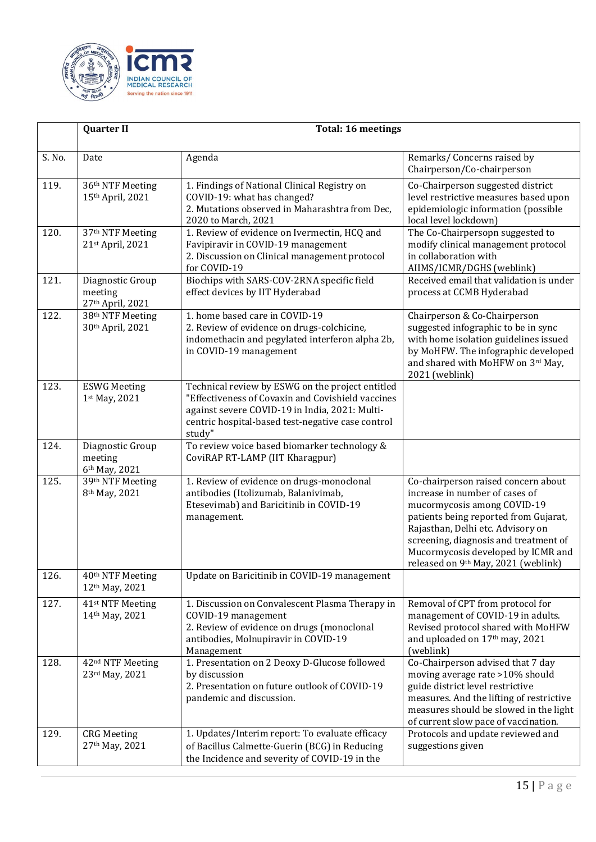

|        | <b>Quarter II</b><br><b>Total: 16 meetings</b>             |                                                                                                                                                                                                                        |                                                                                                                                                                                                                                                                                                          |
|--------|------------------------------------------------------------|------------------------------------------------------------------------------------------------------------------------------------------------------------------------------------------------------------------------|----------------------------------------------------------------------------------------------------------------------------------------------------------------------------------------------------------------------------------------------------------------------------------------------------------|
| S. No. | Date                                                       | Agenda                                                                                                                                                                                                                 | Remarks/ Concerns raised by<br>Chairperson/Co-chairperson                                                                                                                                                                                                                                                |
| 119.   | 36th NTF Meeting<br>15th April, 2021                       | 1. Findings of National Clinical Registry on<br>COVID-19: what has changed?<br>2. Mutations observed in Maharashtra from Dec,<br>2020 to March, 2021                                                                   | Co-Chairperson suggested district<br>level restrictive measures based upon<br>epidemiologic information (possible<br>local level lockdown)                                                                                                                                                               |
| 120.   | 37 <sup>th</sup> NTF Meeting<br>21st April, 2021           | 1. Review of evidence on Ivermectin, HCQ and<br>Favipiravir in COVID-19 management<br>2. Discussion on Clinical management protocol<br>for COVID-19                                                                    | The Co-Chairpersopn suggested to<br>modify clinical management protocol<br>in collaboration with<br>AIIMS/ICMR/DGHS (weblink)                                                                                                                                                                            |
| 121.   | Diagnostic Group<br>meeting<br>27th April, 2021            | Biochips with SARS-COV-2RNA specific field<br>effect devices by IIT Hyderabad                                                                                                                                          | Received email that validation is under<br>process at CCMB Hyderabad                                                                                                                                                                                                                                     |
| 122.   | 38th NTF Meeting<br>30th April, 2021                       | 1. home based care in COVID-19<br>2. Review of evidence on drugs-colchicine,<br>indomethacin and pegylated interferon alpha 2b,<br>in COVID-19 management                                                              | Chairperson & Co-Chairperson<br>suggested infographic to be in sync<br>with home isolation guidelines issued<br>by MoHFW. The infographic developed<br>and shared with MoHFW on 3rd May,<br>2021 (weblink)                                                                                               |
| 123.   | <b>ESWG Meeting</b><br>1st May, 2021                       | Technical review by ESWG on the project entitled<br>"Effectiveness of Covaxin and Covishield vaccines<br>against severe COVID-19 in India, 2021: Multi-<br>centric hospital-based test-negative case control<br>study" |                                                                                                                                                                                                                                                                                                          |
| 124.   | Diagnostic Group<br>meeting<br>6th May, 2021               | To review voice based biomarker technology &<br>CoviRAP RT-LAMP (IIT Kharagpur)                                                                                                                                        |                                                                                                                                                                                                                                                                                                          |
| 125.   | 39th NTF Meeting<br>8 <sup>th</sup> May, 2021              | 1. Review of evidence on drugs-monoclonal<br>antibodies (Itolizumab, Balanivimab,<br>Etesevimab) and Baricitinib in COVID-19<br>management.                                                                            | Co-chairperson raised concern about<br>increase in number of cases of<br>mucormycosis among COVID-19<br>patients being reported from Gujarat,<br>Rajasthan, Delhi etc. Advisory on<br>screening, diagnosis and treatment of<br>Mucormycosis developed by ICMR and<br>released on 9th May, 2021 (weblink) |
| 126.   | 40 <sup>th</sup> NTF Meeting<br>12 <sup>th</sup> May, 2021 | Update on Baricitinib in COVID-19 management                                                                                                                                                                           |                                                                                                                                                                                                                                                                                                          |
| 127.   | 41 <sup>st</sup> NTF Meeting<br>14th May, 2021             | 1. Discussion on Convalescent Plasma Therapy in<br>COVID-19 management<br>2. Review of evidence on drugs (monoclonal<br>antibodies, Molnupiravir in COVID-19<br>Management                                             | Removal of CPT from protocol for<br>management of COVID-19 in adults.<br>Revised protocol shared with MoHFW<br>and uploaded on 17th may, 2021<br>(weblink)                                                                                                                                               |
| 128.   | 42 <sup>nd</sup> NTF Meeting<br>23rd May, 2021             | 1. Presentation on 2 Deoxy D-Glucose followed<br>by discussion<br>2. Presentation on future outlook of COVID-19<br>pandemic and discussion.                                                                            | Co-Chairperson advised that 7 day<br>moving average rate >10% should<br>guide district level restrictive<br>measures. And the lifting of restrictive<br>measures should be slowed in the light<br>of current slow pace of vaccination.                                                                   |
| 129.   | <b>CRG</b> Meeting<br>27th May, 2021                       | 1. Updates/Interim report: To evaluate efficacy<br>of Bacillus Calmette-Guerin (BCG) in Reducing<br>the Incidence and severity of COVID-19 in the                                                                      | Protocols and update reviewed and<br>suggestions given                                                                                                                                                                                                                                                   |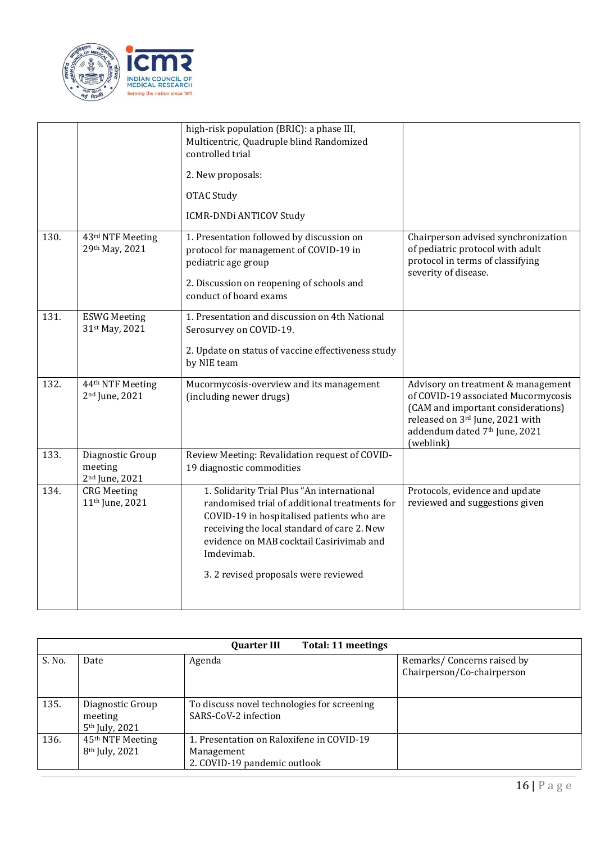

|      |                                                           | high-risk population (BRIC): a phase III,<br>Multicentric, Quadruple blind Randomized<br>controlled trial<br>2. New proposals:<br><b>OTAC Study</b><br><b>ICMR-DNDi ANTICOV Study</b>                                                                                                    |                                                                                                                                                                                                  |
|------|-----------------------------------------------------------|------------------------------------------------------------------------------------------------------------------------------------------------------------------------------------------------------------------------------------------------------------------------------------------|--------------------------------------------------------------------------------------------------------------------------------------------------------------------------------------------------|
| 130. | 43rd NTF Meeting<br>29th May, 2021                        | 1. Presentation followed by discussion on<br>protocol for management of COVID-19 in<br>pediatric age group<br>2. Discussion on reopening of schools and<br>conduct of board exams                                                                                                        | Chairperson advised synchronization<br>of pediatric protocol with adult<br>protocol in terms of classifying<br>severity of disease.                                                              |
| 131. | <b>ESWG Meeting</b><br>31st May, 2021                     | 1. Presentation and discussion on 4th National<br>Serosurvey on COVID-19.<br>2. Update on status of vaccine effectiveness study<br>by NIE team                                                                                                                                           |                                                                                                                                                                                                  |
| 132. | 44th NTF Meeting<br>2 <sup>nd</sup> June, 2021            | Mucormycosis-overview and its management<br>(including newer drugs)                                                                                                                                                                                                                      | Advisory on treatment & management<br>of COVID-19 associated Mucormycosis<br>(CAM and important considerations)<br>released on 3rd June, 2021 with<br>addendum dated 7th June, 2021<br>(weblink) |
| 133. | Diagnostic Group<br>meeting<br>2 <sup>nd</sup> June, 2021 | Review Meeting: Revalidation request of COVID-<br>19 diagnostic commodities                                                                                                                                                                                                              |                                                                                                                                                                                                  |
| 134. | <b>CRG</b> Meeting<br>11 <sup>th</sup> June, 2021         | 1. Solidarity Trial Plus "An international<br>randomised trial of additional treatments for<br>COVID-19 in hospitalised patients who are<br>receiving the local standard of care 2. New<br>evidence on MAB cocktail Casirivimab and<br>Imdevimab.<br>3.2 revised proposals were reviewed | Protocols, evidence and update<br>reviewed and suggestions given                                                                                                                                 |

|        | Total: 11 meetings<br><b>Quarter III</b>                   |                                                                                         |                                                          |  |  |
|--------|------------------------------------------------------------|-----------------------------------------------------------------------------------------|----------------------------------------------------------|--|--|
| S. No. | Date                                                       | Agenda                                                                                  | Remarks/Concerns raised by<br>Chairperson/Co-chairperson |  |  |
| 135.   | Diagnostic Group<br>meeting<br>5 <sup>th</sup> July, 2021  | To discuss novel technologies for screening<br>SARS-CoV-2 infection                     |                                                          |  |  |
| 136.   | 45 <sup>th</sup> NTF Meeting<br>8 <sup>th</sup> July, 2021 | 1. Presentation on Raloxifene in COVID-19<br>Management<br>2. COVID-19 pandemic outlook |                                                          |  |  |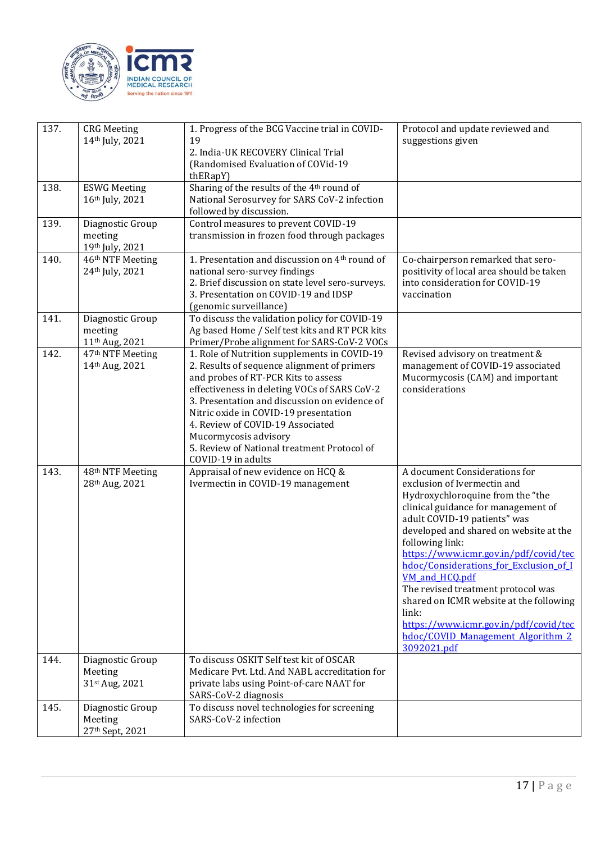

| 137. | <b>CRG</b> Meeting<br>14th July, 2021                     | 1. Progress of the BCG Vaccine trial in COVID-<br>19<br>2. India-UK RECOVERY Clinical Trial<br>(Randomised Evaluation of COVid-19<br>thERapY)                                                                                                                                                                                                                                                                  | Protocol and update reviewed and<br>suggestions given                                                                                                                                                                                                                                                                                                                                                                                                                                                                            |
|------|-----------------------------------------------------------|----------------------------------------------------------------------------------------------------------------------------------------------------------------------------------------------------------------------------------------------------------------------------------------------------------------------------------------------------------------------------------------------------------------|----------------------------------------------------------------------------------------------------------------------------------------------------------------------------------------------------------------------------------------------------------------------------------------------------------------------------------------------------------------------------------------------------------------------------------------------------------------------------------------------------------------------------------|
| 138. | <b>ESWG Meeting</b><br>16th July, 2021                    | Sharing of the results of the 4th round of<br>National Serosurvey for SARS CoV-2 infection<br>followed by discussion.                                                                                                                                                                                                                                                                                          |                                                                                                                                                                                                                                                                                                                                                                                                                                                                                                                                  |
| 139. | Diagnostic Group<br>meeting<br>19th July, 2021            | Control measures to prevent COVID-19<br>transmission in frozen food through packages                                                                                                                                                                                                                                                                                                                           |                                                                                                                                                                                                                                                                                                                                                                                                                                                                                                                                  |
| 140. | 46th NTF Meeting<br>24th July, 2021                       | 1. Presentation and discussion on 4 <sup>th</sup> round of<br>national sero-survey findings<br>2. Brief discussion on state level sero-surveys.<br>3. Presentation on COVID-19 and IDSP<br>(genomic surveillance)                                                                                                                                                                                              | Co-chairperson remarked that sero-<br>positivity of local area should be taken<br>into consideration for COVID-19<br>vaccination                                                                                                                                                                                                                                                                                                                                                                                                 |
| 141. | Diagnostic Group<br>meeting<br>11 <sup>th</sup> Aug, 2021 | To discuss the validation policy for COVID-19<br>Ag based Home / Self test kits and RT PCR kits<br>Primer/Probe alignment for SARS-CoV-2 VOCs                                                                                                                                                                                                                                                                  |                                                                                                                                                                                                                                                                                                                                                                                                                                                                                                                                  |
| 142. | 47 <sup>th</sup> NTF Meeting<br>14th Aug, 2021            | 1. Role of Nutrition supplements in COVID-19<br>2. Results of sequence alignment of primers<br>and probes of RT-PCR Kits to assess<br>effectiveness in deleting VOCs of SARS CoV-2<br>3. Presentation and discussion on evidence of<br>Nitric oxide in COVID-19 presentation<br>4. Review of COVID-19 Associated<br>Mucormycosis advisory<br>5. Review of National treatment Protocol of<br>COVID-19 in adults | Revised advisory on treatment &<br>management of COVID-19 associated<br>Mucormycosis (CAM) and important<br>considerations                                                                                                                                                                                                                                                                                                                                                                                                       |
| 143. | 48th NTF Meeting<br>28th Aug, 2021                        | Appraisal of new evidence on HCQ &<br>Ivermectin in COVID-19 management                                                                                                                                                                                                                                                                                                                                        | A document Considerations for<br>exclusion of Ivermectin and<br>Hydroxychloroquine from the "the<br>clinical guidance for management of<br>adult COVID-19 patients" was<br>developed and shared on website at the<br>following link:<br>https://www.icmr.gov.in/pdf/covid/tec<br>hdoc/Considerations for Exclusion of I<br>VM and HCQ.pdf<br>The revised treatment protocol was<br>shared on ICMR website at the following<br>link:<br>https://www.icmr.gov.in/pdf/covid/tec<br>hdoc/COVID Management Algorithm 2<br>3092021.pdf |
| 144. | Diagnostic Group<br>Meeting<br>31st Aug, 2021             | To discuss OSKIT Self test kit of OSCAR<br>Medicare Pvt. Ltd. And NABL accreditation for<br>private labs using Point-of-care NAAT for                                                                                                                                                                                                                                                                          |                                                                                                                                                                                                                                                                                                                                                                                                                                                                                                                                  |
| 145. | Diagnostic Group<br>Meeting<br>27th Sept, 2021            | SARS-CoV-2 diagnosis<br>To discuss novel technologies for screening<br>SARS-CoV-2 infection                                                                                                                                                                                                                                                                                                                    |                                                                                                                                                                                                                                                                                                                                                                                                                                                                                                                                  |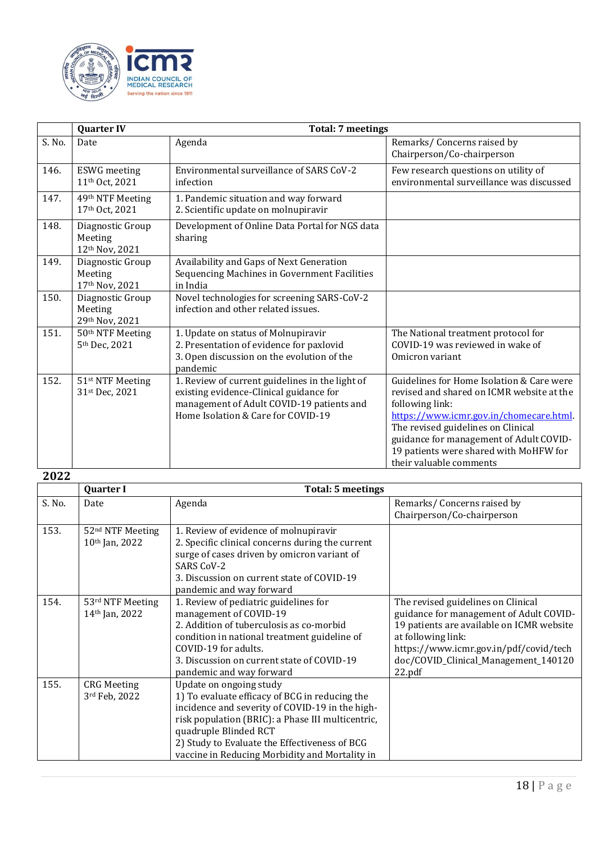

|        | <b>Quarter IV</b>                                 | <b>Total: 7 meetings</b>                                                                                                                                                      |                                                                                                                                                                                                                                                                                                           |
|--------|---------------------------------------------------|-------------------------------------------------------------------------------------------------------------------------------------------------------------------------------|-----------------------------------------------------------------------------------------------------------------------------------------------------------------------------------------------------------------------------------------------------------------------------------------------------------|
| S. No. | Date                                              | Agenda                                                                                                                                                                        | Remarks/Concerns raised by<br>Chairperson/Co-chairperson                                                                                                                                                                                                                                                  |
| 146.   | <b>ESWG</b> meeting<br>11 <sup>th</sup> Oct, 2021 | Environmental surveillance of SARS CoV-2<br>infection                                                                                                                         | Few research questions on utility of<br>environmental surveillance was discussed                                                                                                                                                                                                                          |
| 147.   | 49th NTF Meeting<br>17th Oct, 2021                | 1. Pandemic situation and way forward<br>2. Scientific update on molnupiravir                                                                                                 |                                                                                                                                                                                                                                                                                                           |
| 148.   | Diagnostic Group<br>Meeting<br>12th Nov, 2021     | Development of Online Data Portal for NGS data<br>sharing                                                                                                                     |                                                                                                                                                                                                                                                                                                           |
| 149.   | Diagnostic Group<br>Meeting<br>17th Nov, 2021     | Availability and Gaps of Next Generation<br>Sequencing Machines in Government Facilities<br>in India                                                                          |                                                                                                                                                                                                                                                                                                           |
| 150.   | Diagnostic Group<br>Meeting<br>29th Nov, 2021     | Novel technologies for screening SARS-CoV-2<br>infection and other related issues.                                                                                            |                                                                                                                                                                                                                                                                                                           |
| 151.   | 50 <sup>th</sup> NTF Meeting<br>5th Dec, 2021     | 1. Update on status of Molnupiravir<br>2. Presentation of evidence for paxlovid<br>3. Open discussion on the evolution of the<br>pandemic                                     | The National treatment protocol for<br>COVID-19 was reviewed in wake of<br>Omicron variant                                                                                                                                                                                                                |
| 152.   | 51 <sup>st</sup> NTF Meeting<br>31st Dec, 2021    | 1. Review of current guidelines in the light of<br>existing evidence-Clinical guidance for<br>management of Adult COVID-19 patients and<br>Home Isolation & Care for COVID-19 | Guidelines for Home Isolation & Care were<br>revised and shared on ICMR website at the<br>following link:<br>https://www.icmr.gov.in/chomecare.html<br>The revised guidelines on Clinical<br>guidance for management of Adult COVID-<br>19 patients were shared with MoHFW for<br>their valuable comments |

## **2022**

|        | <b>Quarter I</b>                                 | <b>Total: 5 meetings</b>                                                                                                                                                                                                                                                                                      |                                                                                                                                                                                                                                              |
|--------|--------------------------------------------------|---------------------------------------------------------------------------------------------------------------------------------------------------------------------------------------------------------------------------------------------------------------------------------------------------------------|----------------------------------------------------------------------------------------------------------------------------------------------------------------------------------------------------------------------------------------------|
| S. No. | Date                                             | Agenda                                                                                                                                                                                                                                                                                                        | Remarks/Concerns raised by<br>Chairperson/Co-chairperson                                                                                                                                                                                     |
| 153.   | 52 <sup>nd</sup> NTF Meeting<br>$10th$ Jan, 2022 | 1. Review of evidence of molnupiravir<br>2. Specific clinical concerns during the current<br>surge of cases driven by omicron variant of<br><b>SARS CoV-2</b><br>3. Discussion on current state of COVID-19<br>pandemic and way forward                                                                       |                                                                                                                                                                                                                                              |
| 154.   | 53rd NTF Meeting<br>14th Jan, 2022               | 1. Review of pediatric guidelines for<br>management of COVID-19<br>2. Addition of tuberculosis as co-morbid<br>condition in national treatment guideline of<br>COVID-19 for adults.<br>3. Discussion on current state of COVID-19<br>pandemic and way forward                                                 | The revised guidelines on Clinical<br>guidance for management of Adult COVID-<br>19 patients are available on ICMR website<br>at following link:<br>https://www.icmr.gov.in/pdf/covid/tech<br>doc/COVID_Clinical_Management_140120<br>22.pdf |
| 155.   | <b>CRG</b> Meeting<br>3rd Feb, 2022              | Update on ongoing study<br>1) To evaluate efficacy of BCG in reducing the<br>incidence and severity of COVID-19 in the high-<br>risk population (BRIC): a Phase III multicentric,<br>quadruple Blinded RCT<br>2) Study to Evaluate the Effectiveness of BCG<br>vaccine in Reducing Morbidity and Mortality in |                                                                                                                                                                                                                                              |